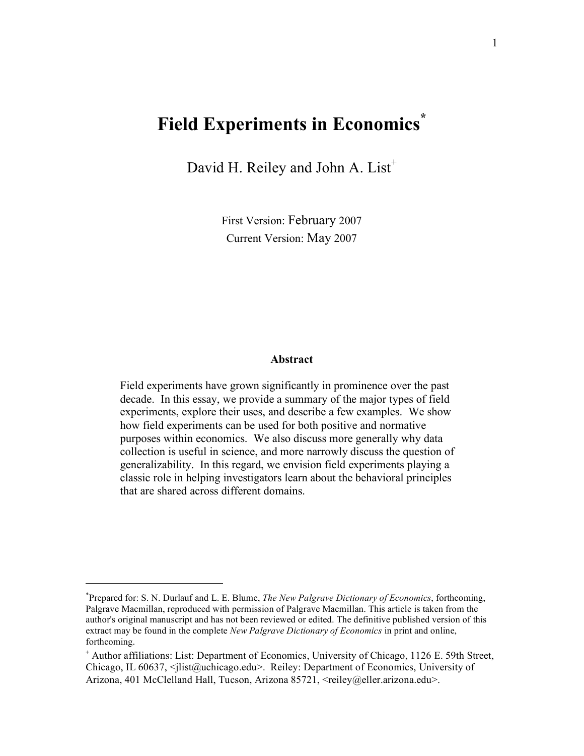## **Field Experiments in Economics \***

David H. Reiley and John A. List<sup>+</sup>

First Version: February 2007 Current Version: May 2007

## **Abstract**

Field experiments have grown significantly in prominence over the past decade. In this essay, we provide a summary of the major types of field experiments, explore their uses, and describe a few examples. We show how field experiments can be used for both positive and normative purposes within economics. We also discuss more generally why data collection is useful in science, and more narrowly discuss the question of generalizability. In this regard, we envision field experiments playing a classic role in helping investigators learn about the behavioral principles that are shared across different domains.

 <sup>\*</sup> Prepared for: S. N. Durlauf and L. E. Blume, *The New Palgrave Dictionary of Economics*, forthcoming, Palgrave Macmillan, reproduced with permission of Palgrave Macmillan. This article is taken from the author's original manuscript and has not been reviewed or edited. The definitive published version of this extract may be found in the complete *New Palgrave Dictionary of Economics* in print and online, forthcoming.

<sup>+</sup> Author affiliations: List: Department of Economics, University of Chicago, 1126 E. 59th Street, Chicago, IL 60637, <ilist@uchicago.edu>. Reiley: Department of Economics, University of Arizona, 401 McClelland Hall, Tucson, Arizona 85721, <reiley@eller.arizona.edu>.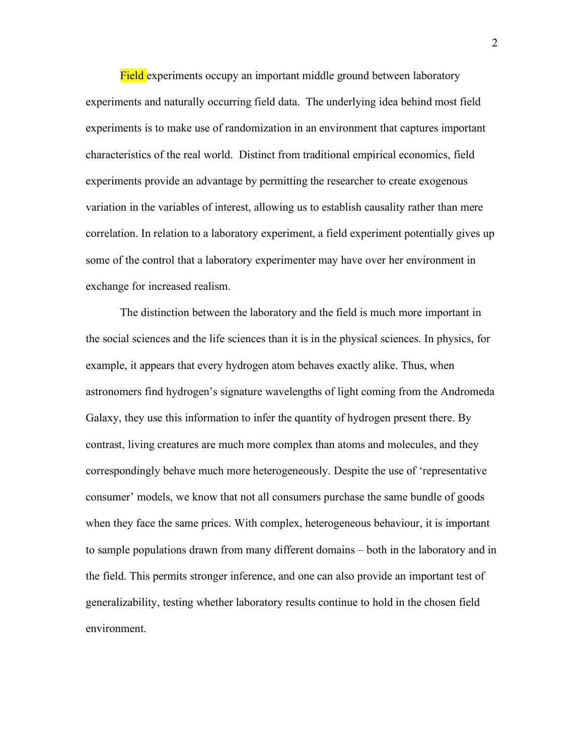**Field** experiments occupy an important middle ground between laboratory experiments and naturally occurring field data. The underlying idea behind most field experiments is to make use of randomization in an environment that captures important characteristics of the real world. Distinct from traditional empirical economics, field experiments provide an advantage by permitting the researcher to create exogenous variation in the variables of interest, allowing us to establish causality rather than mere correlation. In relation to a laboratory experiment, a field experiment potentially gives up some of the control that a laboratory experimenter may have over her environment in exchange for increased realism.

The distinction between the laboratory and the field is much more important in the social sciences and the life sciences than it is in the physical sciences. In physics, for example, it appears that every hydrogen atom behaves exactly alike. Thus, when astronomers find hydrogen's signature wavelengths of light coming from the Andromeda Galaxy, they use this information to infer the quantity of hydrogen present there. By contrast, living creatures are much more complex than atoms and molecules, and they correspondingly behave much more heterogeneously. Despite the use of 'representative consumer' models, we know that not all consumers purchase the same bundle of goods when they face the same prices. With complex, heterogeneous behaviour, it is important to sample populations drawn from many different domains – both in the laboratory and in the field. This permits stronger inference, and one can also provide an important test of generalizability, testing whether laboratory results continue to hold in the chosen field environment.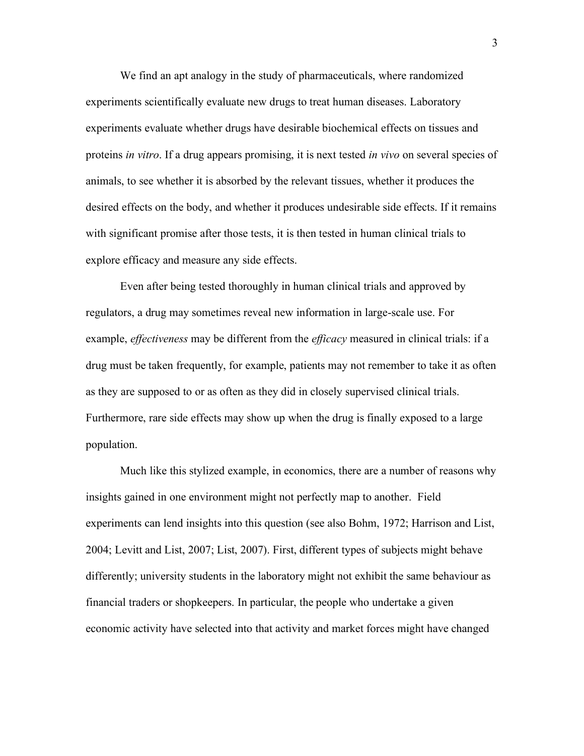We find an apt analogy in the study of pharmaceuticals, where randomized experiments scientifically evaluate new drugs to treat human diseases. Laboratory experiments evaluate whether drugs have desirable biochemical effects on tissues and proteins *in vitro*. If a drug appears promising, it is next tested *in vivo* on several species of animals, to see whether it is absorbed by the relevant tissues, whether it produces the desired effects on the body, and whether it produces undesirable side effects. If it remains with significant promise after those tests, it is then tested in human clinical trials to explore efficacy and measure any side effects.

Even after being tested thoroughly in human clinical trials and approved by regulators, a drug may sometimes reveal new information in large-scale use. For example, *effectiveness* may be different from the *efficacy* measured in clinical trials: if a drug must be taken frequently, for example, patients may not remember to take it as often as they are supposed to or as often as they did in closely supervised clinical trials. Furthermore, rare side effects may show up when the drug is finally exposed to a large population.

Much like this stylized example, in economics, there are a number of reasons why insights gained in one environment might not perfectly map to another. Field experiments can lend insights into this question (see also Bohm, 1972; Harrison and List, 2004; Levitt and List, 2007; List, 2007). First, different types of subjects might behave differently; university students in the laboratory might not exhibit the same behaviour as financial traders or shopkeepers. In particular, the people who undertake a given economic activity have selected into that activity and market forces might have changed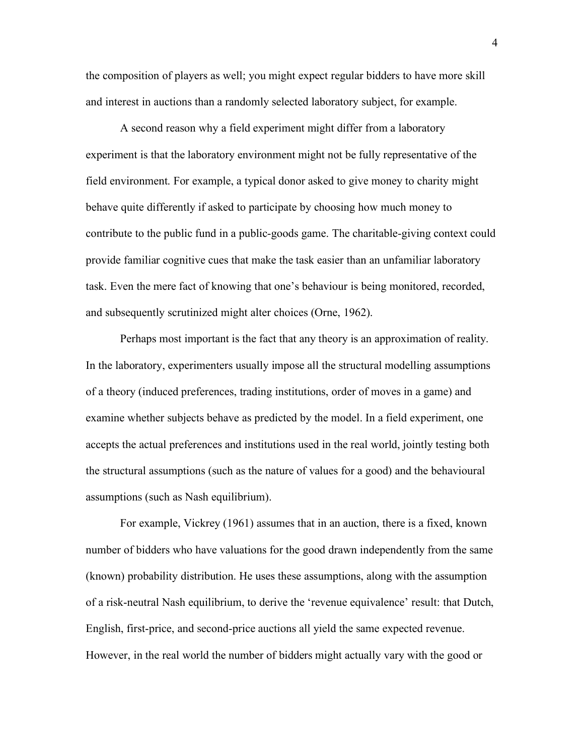the composition of players as well; you might expect regular bidders to have more skill and interest in auctions than a randomly selected laboratory subject, for example.

A second reason why a field experiment might differ from a laboratory experiment is that the laboratory environment might not be fully representative of the field environment. For example, a typical donor asked to give money to charity might behave quite differently if asked to participate by choosing how much money to contribute to the public fund in a public-goods game. The charitable-giving context could provide familiar cognitive cues that make the task easier than an unfamiliar laboratory task. Even the mere fact of knowing that one's behaviour is being monitored, recorded, and subsequently scrutinized might alter choices (Orne, 1962).

Perhaps most important is the fact that any theory is an approximation of reality. In the laboratory, experimenters usually impose all the structural modelling assumptions of a theory (induced preferences, trading institutions, order of moves in a game) and examine whether subjects behave as predicted by the model. In a field experiment, one accepts the actual preferences and institutions used in the real world, jointly testing both the structural assumptions (such as the nature of values for a good) and the behavioural assumptions (such as Nash equilibrium).

For example, Vickrey (1961) assumes that in an auction, there is a fixed, known number of bidders who have valuations for the good drawn independently from the same (known) probability distribution. He uses these assumptions, along with the assumption of a risk-neutral Nash equilibrium, to derive the 'revenue equivalence' result: that Dutch, English, first-price, and second-price auctions all yield the same expected revenue. However, in the real world the number of bidders might actually vary with the good or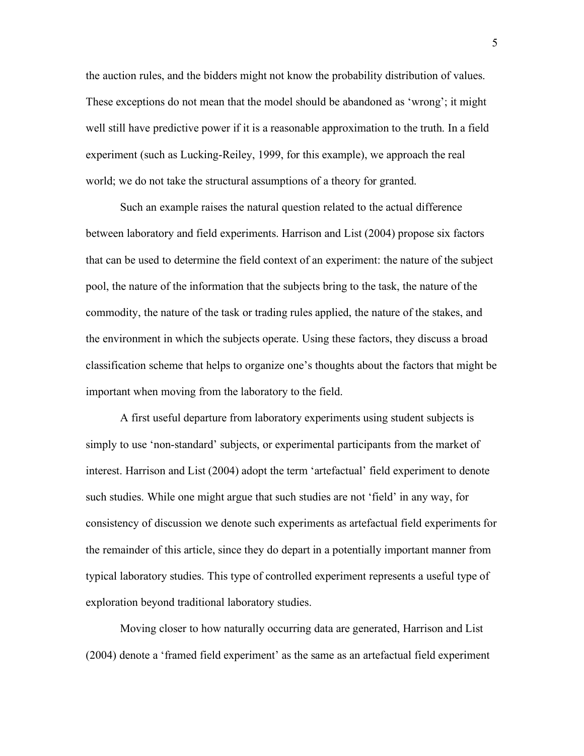the auction rules, and the bidders might not know the probability distribution of values. These exceptions do not mean that the model should be abandoned as 'wrong'; it might well still have predictive power if it is a reasonable approximation to the truth. In a field experiment (such as Lucking-Reiley, 1999, for this example), we approach the real world; we do not take the structural assumptions of a theory for granted.

Such an example raises the natural question related to the actual difference between laboratory and field experiments. Harrison and List (2004) propose six factors that can be used to determine the field context of an experiment: the nature of the subject pool, the nature of the information that the subjects bring to the task, the nature of the commodity, the nature of the task or trading rules applied, the nature of the stakes, and the environment in which the subjects operate. Using these factors, they discuss a broad classification scheme that helps to organize one's thoughts about the factors that might be important when moving from the laboratory to the field.

A first useful departure from laboratory experiments using student subjects is simply to use 'non-standard' subjects, or experimental participants from the market of interest. Harrison and List (2004) adopt the term 'artefactual' field experiment to denote such studies. While one might argue that such studies are not 'field' in any way, for consistency of discussion we denote such experiments as artefactual field experiments for the remainder of this article, since they do depart in a potentially important manner from typical laboratory studies. This type of controlled experiment represents a useful type of exploration beyond traditional laboratory studies.

Moving closer to how naturally occurring data are generated, Harrison and List (2004) denote a 'framed field experiment' as the same as an artefactual field experiment

5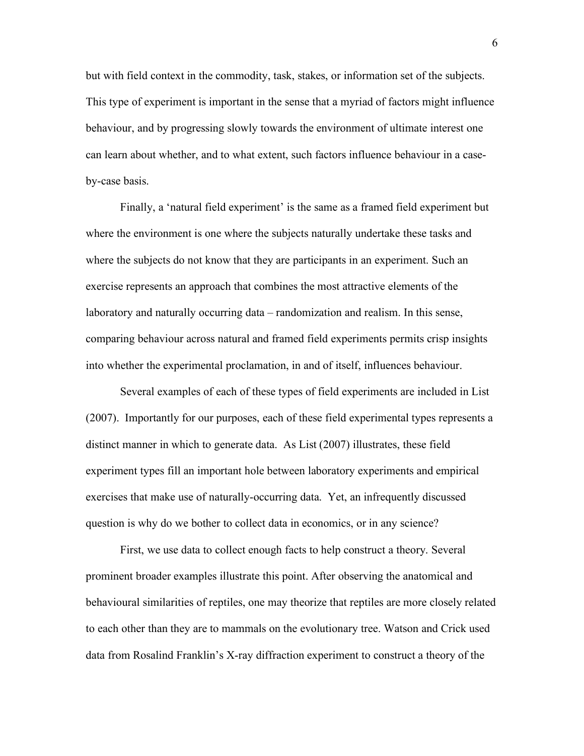but with field context in the commodity, task, stakes, or information set of the subjects. This type of experiment is important in the sense that a myriad of factors might influence behaviour, and by progressing slowly towards the environment of ultimate interest one can learn about whether, and to what extent, such factors influence behaviour in a caseby-case basis.

Finally, a 'natural field experiment' is the same as a framed field experiment but where the environment is one where the subjects naturally undertake these tasks and where the subjects do not know that they are participants in an experiment. Such an exercise represents an approach that combines the most attractive elements of the laboratory and naturally occurring data – randomization and realism. In this sense, comparing behaviour across natural and framed field experiments permits crisp insights into whether the experimental proclamation, in and of itself, influences behaviour.

Several examples of each of these types of field experiments are included in List (2007). Importantly for our purposes, each of these field experimental types represents a distinct manner in which to generate data. As List (2007) illustrates, these field experiment types fill an important hole between laboratory experiments and empirical exercises that make use of naturally-occurring data. Yet, an infrequently discussed question is why do we bother to collect data in economics, or in any science?

First, we use data to collect enough facts to help construct a theory. Several prominent broader examples illustrate this point. After observing the anatomical and behavioural similarities of reptiles, one may theorize that reptiles are more closely related to each other than they are to mammals on the evolutionary tree. Watson and Crick used data from Rosalind Franklin's X-ray diffraction experiment to construct a theory of the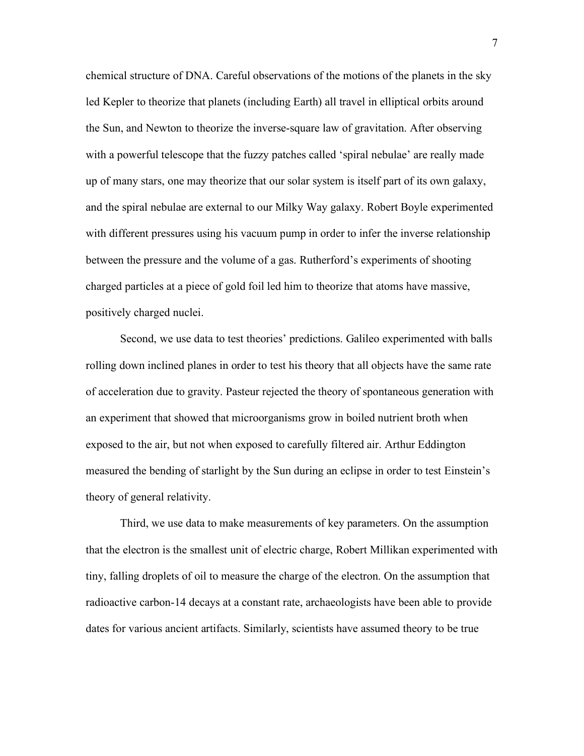chemical structure of DNA. Careful observations of the motions of the planets in the sky led Kepler to theorize that planets (including Earth) all travel in elliptical orbits around the Sun, and Newton to theorize the inverse-square law of gravitation. After observing with a powerful telescope that the fuzzy patches called 'spiral nebulae' are really made up of many stars, one may theorize that our solar system is itself part of its own galaxy, and the spiral nebulae are external to our Milky Way galaxy. Robert Boyle experimented with different pressures using his vacuum pump in order to infer the inverse relationship between the pressure and the volume of a gas. Rutherford's experiments of shooting charged particles at a piece of gold foil led him to theorize that atoms have massive, positively charged nuclei.

Second, we use data to test theories' predictions. Galileo experimented with balls rolling down inclined planes in order to test his theory that all objects have the same rate of acceleration due to gravity. Pasteur rejected the theory of spontaneous generation with an experiment that showed that microorganisms grow in boiled nutrient broth when exposed to the air, but not when exposed to carefully filtered air. Arthur Eddington measured the bending of starlight by the Sun during an eclipse in order to test Einstein's theory of general relativity.

Third, we use data to make measurements of key parameters. On the assumption that the electron is the smallest unit of electric charge, Robert Millikan experimented with tiny, falling droplets of oil to measure the charge of the electron. On the assumption that radioactive carbon-14 decays at a constant rate, archaeologists have been able to provide dates for various ancient artifacts. Similarly, scientists have assumed theory to be true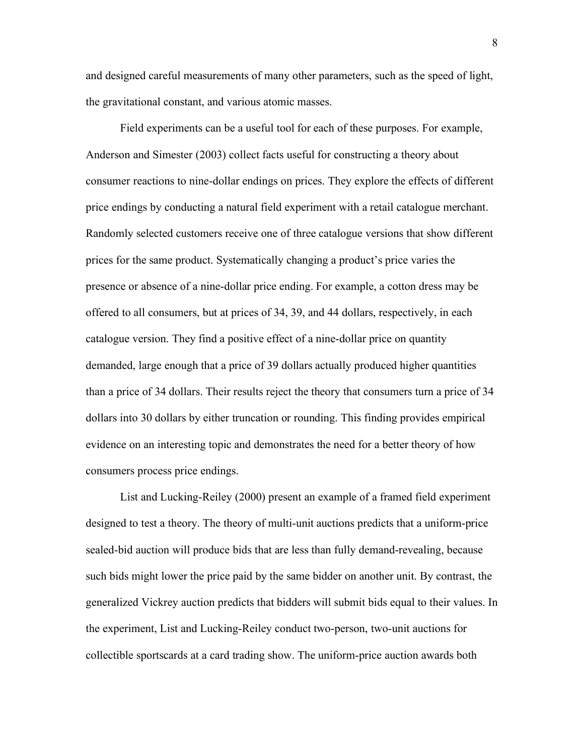and designed careful measurements of many other parameters, such as the speed of light, the gravitational constant, and various atomic masses.

Field experiments can be a useful tool for each of these purposes. For example, Anderson and Simester (2003) collect facts useful for constructing a theory about consumer reactions to nine-dollar endings on prices. They explore the effects of different price endings by conducting a natural field experiment with a retail catalogue merchant. Randomly selected customers receive one of three catalogue versions that show different prices for the same product. Systematically changing a product's price varies the presence or absence of a nine-dollar price ending. For example, a cotton dress may be offered to all consumers, but at prices of 34, 39, and 44 dollars, respectively, in each catalogue version. They find a positive effect of a nine-dollar price on quantity demanded, large enough that a price of 39 dollars actually produced higher quantities than a price of 34 dollars. Their results reject the theory that consumers turn a price of 34 dollars into 30 dollars by either truncation or rounding. This finding provides empirical evidence on an interesting topic and demonstrates the need for a better theory of how consumers process price endings.

List and Lucking-Reiley (2000) present an example of a framed field experiment designed to test a theory. The theory of multi-unit auctions predicts that a uniform-price sealed-bid auction will produce bids that are less than fully demand-revealing, because such bids might lower the price paid by the same bidder on another unit. By contrast, the generalized Vickrey auction predicts that bidders will submit bids equal to their values. In the experiment, List and Lucking-Reiley conduct two-person, two-unit auctions for collectible sportscards at a card trading show. The uniform-price auction awards both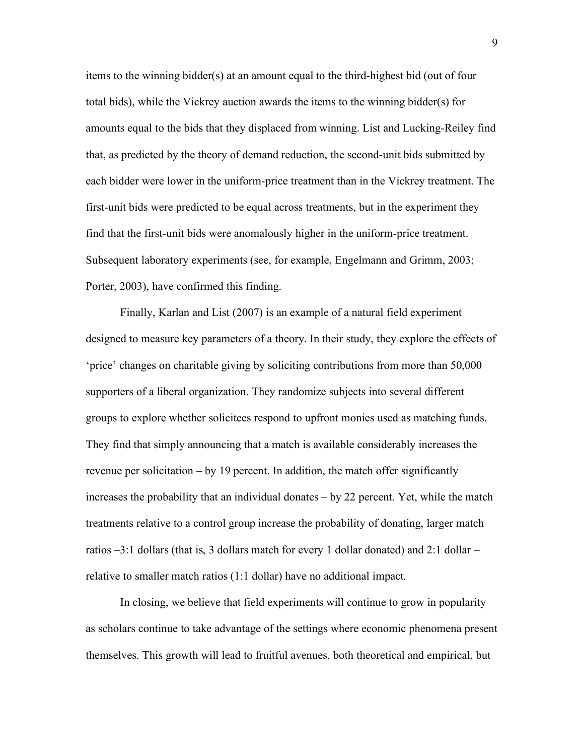items to the winning bidder(s) at an amount equal to the third-highest bid (out of four total bids), while the Vickrey auction awards the items to the winning bidder(s) for amounts equal to the bids that they displaced from winning. List and Lucking-Reiley find that, as predicted by the theory of demand reduction, the second-unit bids submitted by each bidder were lower in the uniform-price treatment than in the Vickrey treatment. The first-unit bids were predicted to be equal across treatments, but in the experiment they find that the first-unit bids were anomalously higher in the uniform-price treatment. Subsequent laboratory experiments (see, for example, Engelmann and Grimm, 2003; Porter, 2003), have confirmed this finding.

Finally, Karlan and List (2007) is an example of a natural field experiment designed to measure key parameters of a theory. In their study, they explore the effects of 'price' changes on charitable giving by soliciting contributions from more than 50,000 supporters of a liberal organization. They randomize subjects into several different groups to explore whether solicitees respond to upfront monies used as matching funds. They find that simply announcing that a match is available considerably increases the revenue per solicitation – by 19 percent. In addition, the match offer significantly increases the probability that an individual donates – by 22 percent. Yet, while the match treatments relative to a control group increase the probability of donating, larger match ratios –3:1 dollars (that is, 3 dollars match for every 1 dollar donated) and 2:1 dollar – relative to smaller match ratios (1:1 dollar) have no additional impact.

In closing, we believe that field experiments will continue to grow in popularity as scholars continue to take advantage of the settings where economic phenomena present themselves. This growth will lead to fruitful avenues, both theoretical and empirical, but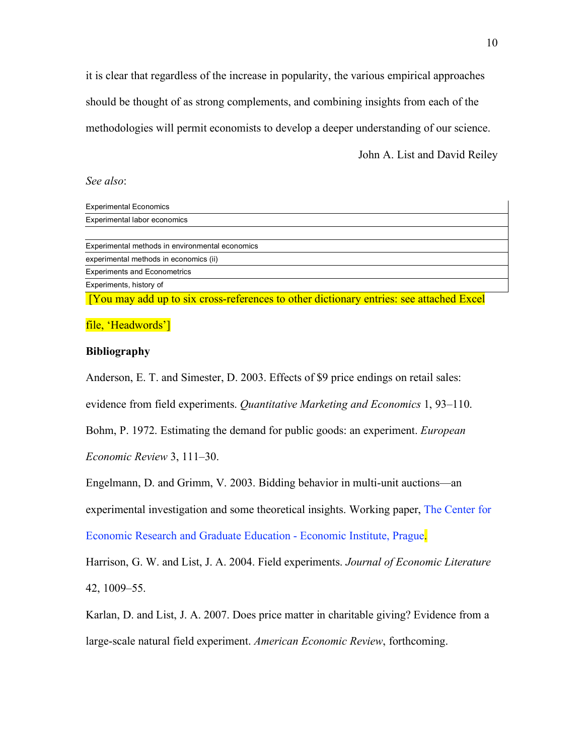it is clear that regardless of the increase in popularity, the various empirical approaches should be thought of as strong complements, and combining insights from each of the methodologies will permit economists to develop a deeper understanding of our science.

John A. List and David Reiley

*See also*:

| <b>Experimental Economics</b>                                                           |
|-----------------------------------------------------------------------------------------|
| Experimental labor economics                                                            |
|                                                                                         |
| Experimental methods in environmental economics                                         |
| experimental methods in economics (ii)                                                  |
| <b>Experiments and Econometrics</b>                                                     |
| Experiments, history of                                                                 |
| [You may add up to six cross-references to other dictionary entries: see attached Excel |

file, 'Headwords']

## **Bibliography**

Anderson, E. T. and Simester, D. 2003. Effects of \$9 price endings on retail sales:

evidence from field experiments. *Quantitative Marketing and Economics* 1, 93–110.

Bohm, P. 1972. Estimating the demand for public goods: an experiment. *European* 

*Economic Review* 3, 111–30.

Engelmann, D. and Grimm, V. 2003. Bidding behavior in multi-unit auctions—an

experimental investigation and some theoretical insights. Working paper, The Center for

Economic Research and Graduate Education - Economic Institute, Prague.

Harrison, G. W. and List, J. A. 2004. Field experiments. *Journal of Economic Literature* 42, 1009–55.

Karlan, D. and List, J. A. 2007. Does price matter in charitable giving? Evidence from a large-scale natural field experiment. *American Economic Review*, forthcoming.